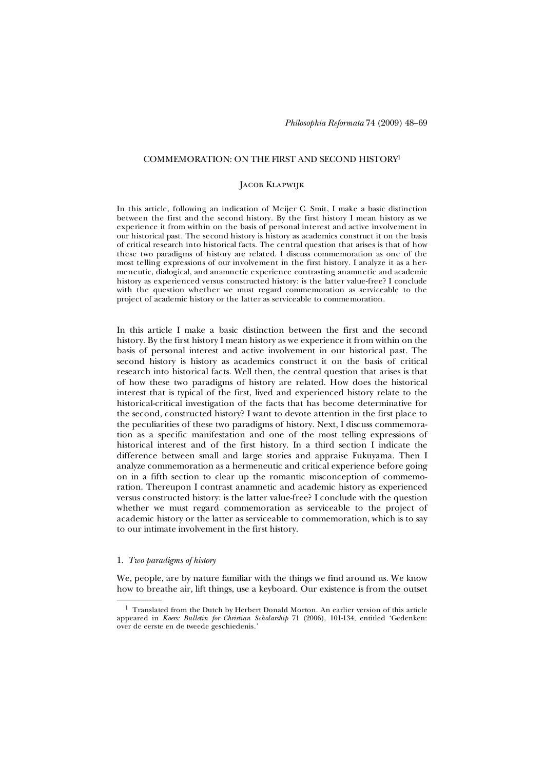# COMMEMORATION: ON THE FIRST AND SECOND HISTORY1

# Jacob Klapwijk

In this article, following an indication of Meijer C. Smit, I make a basic distinction between the first and the second history. By the first history I mean history as we experience it from within on the basis of personal interest and active involvement in our historical past. The second history is history as academics construct it on the basis of critical research into historical facts. The central question that arises is that of how these two paradigms of history are related. I discuss commemoration as one of the most telling expressions of our involvement in the first history. I analyze it as a hermeneutic, dialogical, and anamnetic experience contrasting anamnetic and academic history as experienced versus constructed history: is the latter value-free? I conclude with the question whether we must regard commemoration as serviceable to the project of academic history or the latter as serviceable to commemoration.

In this article I make a basic distinction between the first and the second history. By the first history I mean history as we experience it from within on the basis of personal interest and active involvement in our historical past. The second history is history as academics construct it on the basis of critical research into historical facts. Well then, the central question that arises is that of how these two paradigms of history are related. How does the historical interest that is typical of the first, lived and experienced history relate to the historical-critical investigation of the facts that has become determinative for the second, constructed history? I want to devote attention in the first place to the peculiarities of these two paradigms of history. Next, I discuss commemoration as a specific manifestation and one of the most telling expressions of historical interest and of the first history. In a third section I indicate the difference between small and large stories and appraise Fukuyama. Then I analyze commemoration as a hermeneutic and critical experience before going on in a fifth section to clear up the romantic misconception of commemoration. Thereupon I contrast anamnetic and academic history as experienced versus constructed history: is the latter value-free? I conclude with the question whether we must regard commemoration as serviceable to the project of academic history or the latter as serviceable to commemoration, which is to say to our intimate involvement in the first history.

### 1. *Two paradigms of history*

We, people, are by nature familiar with the things we find around us. We know how to breathe air, lift things, use a keyboard. Our existence is from the outset

 $<sup>1</sup>$  Translated from the Dutch by Herbert Donald Morton. An earlier version of this article</sup> appeared in *Koers: Bulletin for Christian Scholarship* 71 (2006), 101-134, entitled 'Gedenken: over de eerste en de tweede geschiedenis.'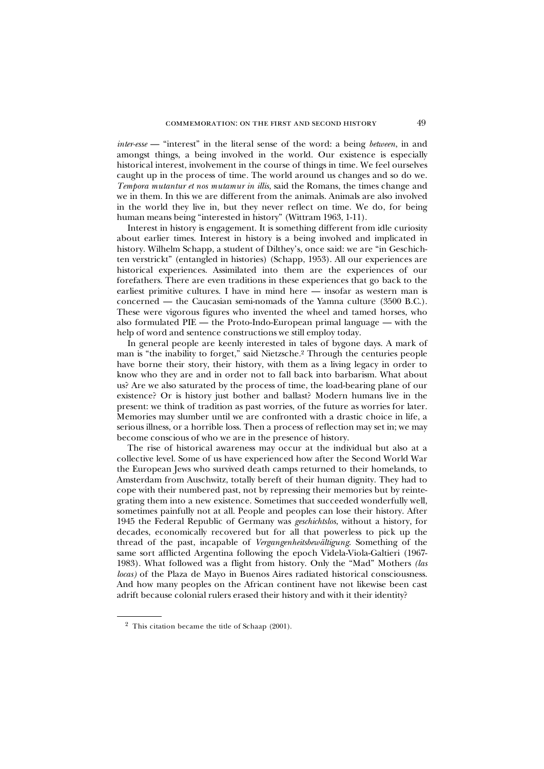*inter-esse* — "interest" in the literal sense of the word: a being *between*, in and amongst things, a being involved in the world. Our existence is especially historical interest, involvement in the course of things in time. We feel ourselves caught up in the process of time*.* The world around us changes and so do we. *Tempora mutantur et nos mutamur in illis*, said the Romans, the times change and we in them. In this we are different from the animals. Animals are also involved in the world they live in, but they never reflect on time. We do, for being human means being "interested in history" (Wittram 1963, 1-11).

Interest in history is engagement. It is something different from idle curiosity about earlier times. Interest in history is a being involved and implicated in history. Wilhelm Schapp, a student of Dilthey's, once said: we are "in Geschichten verstrickt" (entangled in histories) (Schapp, 1953). All our experiences are historical experiences. Assimilated into them are the experiences of our forefathers. There are even traditions in these experiences that go back to the earliest primitive cultures. I have in mind here — insofar as western man is concerned — the Caucasian semi-nomads of the Yamna culture (3500 B.C.). These were vigorous figures who invented the wheel and tamed horses, who also formulated  $PIE$  — the Proto-Indo-European primal language — with the help of word and sentence constructions we still employ today.

In general people are keenly interested in tales of bygone days. A mark of man is "the inability to forget," said Nietzsche.2 Through the centuries people have borne their story, their history, with them as a living legacy in order to know who they are and in order not to fall back into barbarism. What about us? Are we also saturated by the process of time, the load-bearing plane of our existence? Or is history just bother and ballast? Modern humans live in the present: we think of tradition as past worries, of the future as worries for later. Memories may slumber until we are confronted with a drastic choice in life, a serious illness, or a horrible loss. Then a process of reflection may set in; we may become conscious of who we are in the presence of history.

The rise of historical awareness may occur at the individual but also at a collective level. Some of us have experienced how after the Second World War the European Jews who survived death camps returned to their homelands, to Amsterdam from Auschwitz, totally bereft of their human dignity. They had to cope with their numbered past, not by repressing their memories but by reintegrating them into a new existence. Sometimes that succeeded wonderfully well, sometimes painfully not at all. People and peoples can lose their history. After 1945 the Federal Republic of Germany was *geschichtslos*, without a history, for decades, economically recovered but for all that powerless to pick up the thread of the past, incapable of *Vergangenheitsbewältigung*. Something of the same sort afflicted Argentina following the epoch Videla-Viola-Galtieri (1967- 1983). What followed was a flight from history. Only the "Mad" Mothers *(las locas)* of the Plaza de Mayo in Buenos Aires radiated historical consciousness. And how many peoples on the African continent have not likewise been cast adrift because colonial rulers erased their history and with it their identity?

 $2$  This citation became the title of Schaap (2001).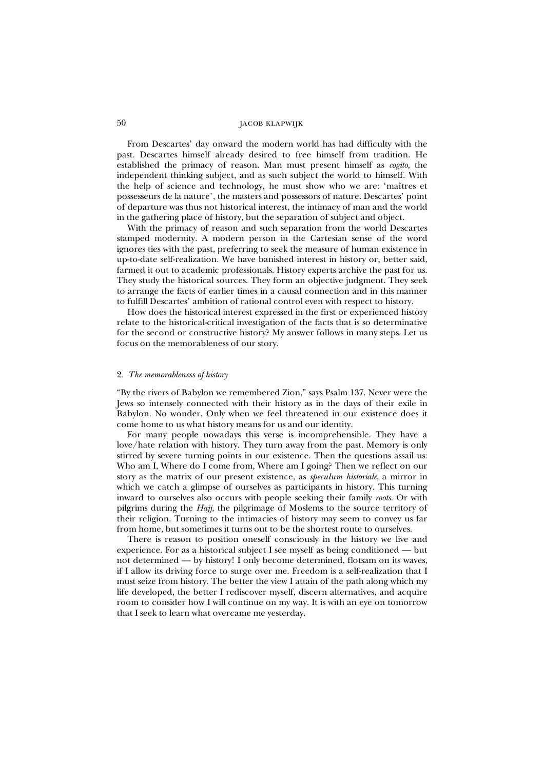From Descartes' day onward the modern world has had difficulty with the past. Descartes himself already desired to free himself from tradition. He established the primacy of reason. Man must present himself as *cogito,* the independent thinking subject, and as such subject the world to himself. With the help of science and technology, he must show who we are: 'maîtres et possesseurs de la nature', the masters and possessors of nature. Descartes' point of departure was thus not historical interest, the intimacy of man and the world in the gathering place of history, but the separation of subject and object.

With the primacy of reason and such separation from the world Descartes stamped modernity. A modern person in the Cartesian sense of the word ignores ties with the past, preferring to seek the measure of human existence in up-to-date self-realization. We have banished interest in history or, better said, farmed it out to academic professionals. History experts archive the past for us. They study the historical sources. They form an objective judgment. They seek to arrange the facts of earlier times in a causal connection and in this manner to fulfill Descartes' ambition of rational control even with respect to history.

How does the historical interest expressed in the first or experienced history relate to the historical-critical investigation of the facts that is so determinative for the second or constructive history? My answer follows in many steps. Let us focus on the memorableness of our story.

### 2*. The memorableness of history*

"By the rivers of Babylon we remembered Zion," says Psalm 137. Never were the Jews so intensely connected with their history as in the days of their exile in Babylon. No wonder. Only when we feel threatened in our existence does it come home to us what history means for us and our identity.

For many people nowadays this verse is incomprehensible. They have a love/hate relation with history. They turn away from the past. Memory is only stirred by severe turning points in our existence. Then the questions assail us: Who am I, Where do I come from, Where am I going? Then we reflect on our story as the matrix of our present existence, as *speculum historiale*, a mirror in which we catch a glimpse of ourselves as participants in history. This turning inward to ourselves also occurs with people seeking their family *roots*. Or with pilgrims during the *Hajj,* the pilgrimage of Moslems to the source territory of their religion. Turning to the intimacies of history may seem to convey us far from home, but sometimes it turns out to be the shortest route to ourselves.

There is reason to position oneself consciously in the history we live and experience. For as a historical subject I see myself as being conditioned — but not determined — by history! I only become determined, flotsam on its waves, if I allow its driving force to surge over me. Freedom is a self-realization that I must seize from history. The better the view I attain of the path along which my life developed, the better I rediscover myself, discern alternatives, and acquire room to consider how I will continue on my way. It is with an eye on tomorrow that I seek to learn what overcame me yesterday.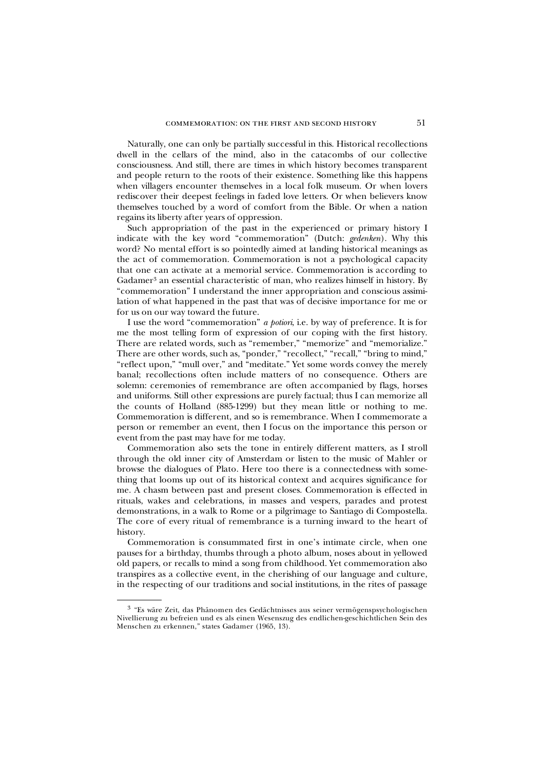Naturally, one can only be partially successful in this. Historical recollections dwell in the cellars of the mind, also in the catacombs of our collective consciousness. And still, there are times in which history becomes transparent and people return to the roots of their existence. Something like this happens when villagers encounter themselves in a local folk museum. Or when lovers rediscover their deepest feelings in faded love letters. Or when believers know themselves touched by a word of comfort from the Bible. Or when a nation regains its liberty after years of oppression.

Such appropriation of the past in the experienced or primary history I indicate with the key word "commemoration" (Dutch: *gedenken*). Why this word? No mental effort is so pointedly aimed at landing historical meanings as the act of commemoration. Commemoration is not a psychological capacity that one can activate at a memorial service. Commemoration is according to Gadamer3 an essential characteristic of man, who realizes himself in history. By "commemoration" I understand the inner appropriation and conscious assimilation of what happened in the past that was of decisive importance for me or for us on our way toward the future.

I use the word "commemoration" *a potiori*, i.e. by way of preference. It is for me the most telling form of expression of our coping with the first history. There are related words, such as "remember," "memorize" and "memorialize.' There are other words, such as, "ponder," "recollect," "recall," "bring to mind," "reflect upon," "mull over," and "meditate." Yet some words convey the merely banal; recollections often include matters of no consequence. Others are solemn: ceremonies of remembrance are often accompanied by flags, horses and uniforms. Still other expressions are purely factual; thus I can memorize all the counts of Holland (885-1299) but they mean little or nothing to me. Commemoration is different, and so is remembrance. When I commemorate a person or remember an event, then I focus on the importance this person or event from the past may have for me today.

Commemoration also sets the tone in entirely different matters, as I stroll through the old inner city of Amsterdam or listen to the music of Mahler or browse the dialogues of Plato. Here too there is a connectedness with something that looms up out of its historical context and acquires significance for me. A chasm between past and present closes. Commemoration is effected in rituals, wakes and celebrations, in masses and vespers, parades and protest demonstrations, in a walk to Rome or a pilgrimage to Santiago di Compostella. The core of every ritual of remembrance is a turning inward to the heart of history.

Commemoration is consummated first in one's intimate circle, when one pauses for a birthday, thumbs through a photo album, noses about in yellowed old papers, or recalls to mind a song from childhood. Yet commemoration also transpires as a collective event, in the cherishing of our language and culture, in the respecting of our traditions and social institutions, in the rites of passage

 $3$  "Es wäre Zeit, das Phänomen des Gedächtnisses aus seiner vermögenspsychologischen Nivellierung zu befreien und es als einen Wesenszug des endlichen-geschichtlichen Sein des Menschen zu erkennen," states Gadamer (1965, 13).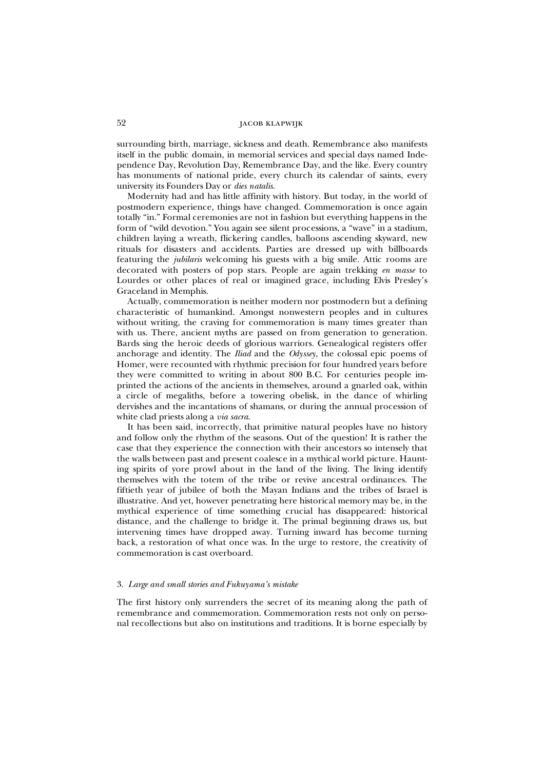surrounding birth, marriage, sickness and death. Remembrance also manifests itself in the public domain, in memorial services and special days named Independence Day, Revolution Day, Remembrance Day, and the like. Every country has monuments of national pride, every church its calendar of saints, every university its Founders Day or *dies natalis*.

Modernity had and has little affinity with history. But today, in the world of postmodern experience, things have changed. Commemoration is once again totally "in." Formal ceremonies are not in fashion but everything happens in the form of "wild devotion." You again see silent processions, a "wave" in a stadium, children laying a wreath, flickering candles, balloons ascending skyward, new rituals for disasters and accidents. Parties are dressed up with billboards featuring the *jubilaris* welcoming his guests with a big smile. Attic rooms are decorated with posters of pop stars. People are again trekking *en masse* to Lourdes or other places of real or imagined grace, including Elvis Presley's Graceland in Memphis.

Actually, commemoration is neither modern nor postmodern but a defining characteristic of humankind. Amongst nonwestern peoples and in cultures without writing, the craving for commemoration is many times greater than with us. There, ancient myths are passed on from generation to generation. Bards sing the heroic deeds of glorious warriors. Genealogical registers offer anchorage and identity. The *Iliad* and the *Odyssey,* the colossal epic poems of Homer, were recounted with rhythmic precision for four hundred years before they were committed to writing in about 800 B.C. For centuries people imprinted the actions of the ancients in themselves, around a gnarled oak, within a circle of megaliths, before a towering obelisk, in the dance of whirling dervishes and the incantations of shamans, or during the annual procession of white clad priests along a *via sacra*.

It has been said, incorrectly, that primitive natural peoples have no history and follow only the rhythm of the seasons. Out of the question! It is rather the case that they experience the connection with their ancestors so intensely that the walls between past and present coalesce in a mythical world picture. Haunting spirits of yore prowl about in the land of the living. The living identify themselves with the totem of the tribe or revive ancestral ordinances. The fiftieth year of jubilee of both the Mayan Indians and the tribes of Israel is illustrative. And yet, however penetrating here historical memory may be, in the mythical experience of time something crucial has disappeared: historical distance, and the challenge to bridge it. The primal beginning draws us, but intervening times have dropped away. Turning inward has become turning back, a restoration of what once was. In the urge to restore, the creativity of commemoration is cast overboard.

### 3. *Large and small stories and Fukuyama's mistake*

The first history only surrenders the secret of its meaning along the path of remembrance and commemoration. Commemoration rests not only on personal recollections but also on institutions and traditions. It is borne especially by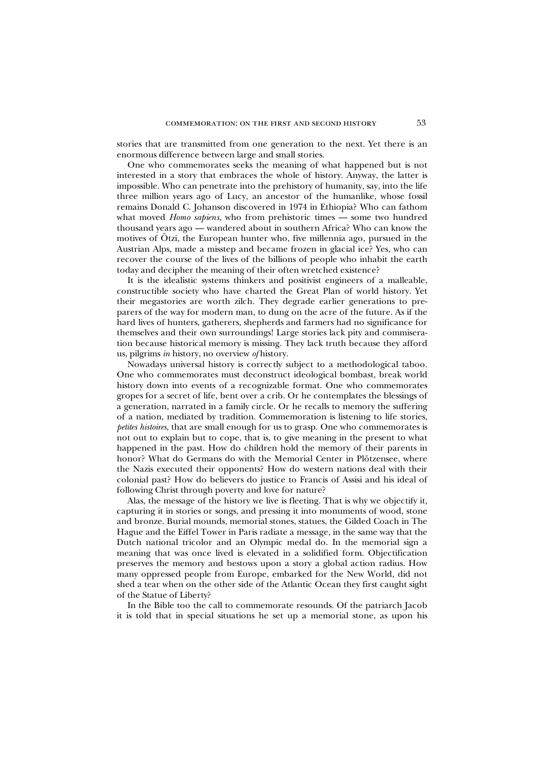stories that are transmitted from one generation to the next. Yet there is an enormous difference between large and small stories.

One who commemorates seeks the meaning of what happened but is not interested in a story that embraces the whole of history. Anyway, the latter is impossible. Who can penetrate into the prehistory of humanity, say, into the life three million years ago of Lucy, an ancestor of the humanlike, whose fossil remains Donald C. Johanson discovered in 1974 in Ethiopia? Who can fathom what moved *Homo sapiens,* who from prehistoric times — some two hundred thousand years ago — wandered about in southern Africa? Who can know the motives of Ötzi, the European hunter who, five millennia ago, pursued in the Austrian Alps, made a misstep and became frozen in glacial ice? Yes, who can recover the course of the lives of the billions of people who inhabit the earth today and decipher the meaning of their often wretched existence?

It is the idealistic systems thinkers and positivist engineers of a malleable, constructible society who have charted the Great Plan of world history. Yet their megastories are worth zilch. They degrade earlier generations to preparers of the way for modern man, to dung on the acre of the future. As if the hard lives of hunters, gatherers, shepherds and farmers had no significance for themselves and their own surroundings! Large stories lack pity and commiseration because historical memory is missing. They lack truth because they afford us, pilgrims *in* history, no overview *of* history.

Nowadays universal history is correctly subject to a methodological taboo. One who commemorates must deconstruct ideological bombast, break world history down into events of a recognizable format. One who commemorates gropes for a secret of life, bent over a crib. Or he contemplates the blessings of a generation, narrated in a family circle. Or he recalls to memory the suffering of a nation, mediated by tradition. Commemoration is listening to life stories, *petites histoires,* that are small enough for us to grasp. One who commemorates is not out to explain but to cope, that is, to give meaning in the present to what happened in the past. How do children hold the memory of their parents in honor? What do Germans do with the Memorial Center in Plötzensee, where the Nazis executed their opponents? How do western nations deal with their colonial past? How do believers do justice to Francis of Assisi and his ideal of following Christ through poverty and love for nature?

Alas, the message of the history we live is fleeting. That is why we objectify it, capturing it in stories or songs, and pressing it into monuments of wood, stone and bronze. Burial mounds, memorial stones, statues, the Gilded Coach in The Hague and the Eiffel Tower in Paris radiate a message, in the same way that the Dutch national tricolor and an Olympic medal do. In the memorial sign a meaning that was once lived is elevated in a solidified form. Objectification preserves the memory and bestows upon a story a global action radius. How many oppressed people from Europe, embarked for the New World, did not shed a tear when on the other side of the Atlantic Ocean they first caught sight of the Statue of Liberty?

In the Bible too the call to commemorate resounds. Of the patriarch Jacob it is told that in special situations he set up a memorial stone, as upon his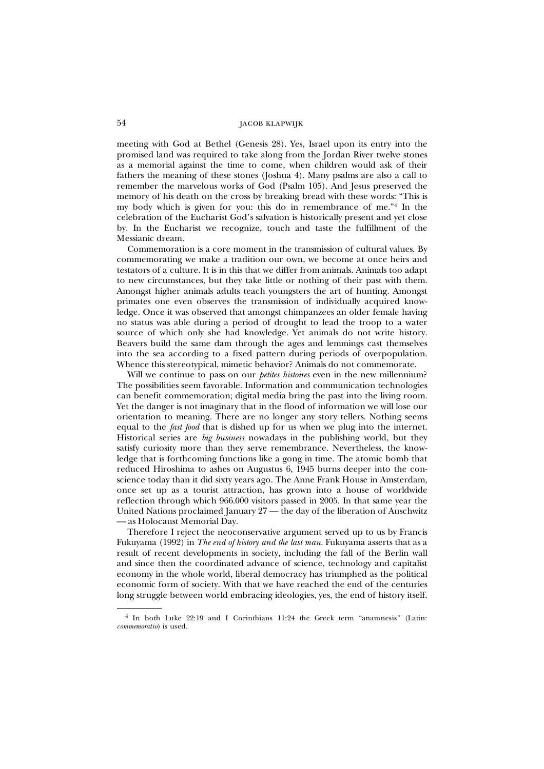meeting with God at Bethel (Genesis 28). Yes, Israel upon its entry into the promised land was required to take along from the Jordan River twelve stones as a memorial against the time to come, when children would ask of their fathers the meaning of these stones (Joshua 4). Many psalms are also a call to remember the marvelous works of God (Psalm 105). And Jesus preserved the memory of his death on the cross by breaking bread with these words: "This is my body which is given for you: this do in remembrance of me."4 In the celebration of the Eucharist God's salvation is historically present and yet close by. In the Eucharist we recognize, touch and taste the fulfillment of the Messianic dream.

Commemoration is a core moment in the transmission of cultural values. By commemorating we make a tradition our own, we become at once heirs and testators of a culture. It is in this that we differ from animals. Animals too adapt to new circumstances, but they take little or nothing of their past with them. Amongst higher animals adults teach youngsters the art of hunting. Amongst primates one even observes the transmission of individually acquired knowledge. Once it was observed that amongst chimpanzees an older female having no status was able during a period of drought to lead the troop to a water source of which only she had knowledge. Yet animals do not write history. Beavers build the same dam through the ages and lemmings cast themselves into the sea according to a fixed pattern during periods of overpopulation. Whence this stereotypical, mimetic behavior? Animals do not commemorate.

Will we continue to pass on our *petites histoires* even in the new millennium? The possibilities seem favorable. Information and communication technologies can benefit commemoration; digital media bring the past into the living room. Yet the danger is not imaginary that in the flood of information we will lose our orientation to meaning. There are no longer any story tellers. Nothing seems equal to the *fast food* that is dished up for us when we plug into the internet. Historical series are *big business* nowadays in the publishing world, but they satisfy curiosity more than they serve remembrance. Nevertheless, the knowledge that is forthcoming functions like a gong in time. The atomic bomb that reduced Hiroshima to ashes on Augustus 6, 1945 burns deeper into the conscience today than it did sixty years ago. The Anne Frank House in Amsterdam, once set up as a tourist attraction, has grown into a house of worldwide reflection through which 966.000 visitors passed in 2005. In that same year the United Nations proclaimed January 27 — the day of the liberation of Auschwitz — as Holocaust Memorial Day.

Therefore I reject the neoconservative argument served up to us by Francis Fukuyama (1992) in *The end of history and the last man*. Fukuyama asserts that as a result of recent developments in society, including the fall of the Berlin wall and since then the coordinated advance of science, technology and capitalist economy in the whole world, liberal democracy has triumphed as the political economic form of society. With that we have reached the end of the centuries long struggle between world embracing ideologies, yes, the end of history itself.

<sup>4</sup> In both Luke 22:19 and I Corinthians 11:24 the Greek term "anamnesis" (Latin: *commemoratio*) is used.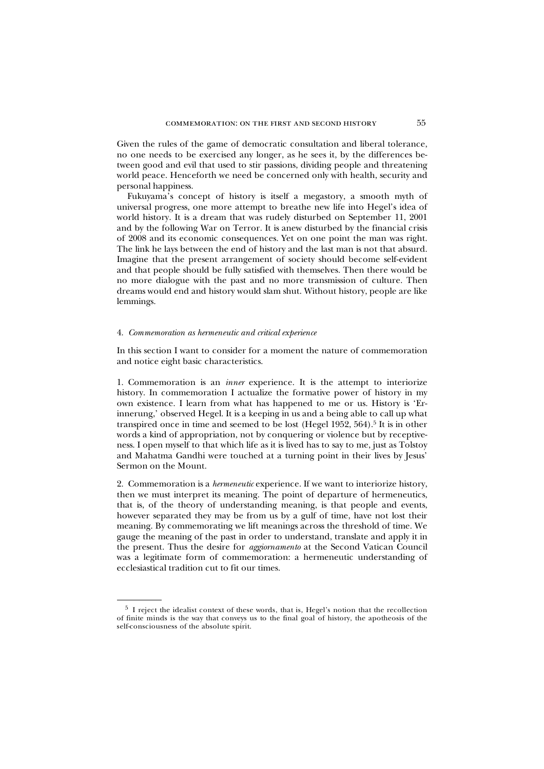Given the rules of the game of democratic consultation and liberal tolerance, no one needs to be exercised any longer, as he sees it, by the differences between good and evil that used to stir passions, dividing people and threatening world peace. Henceforth we need be concerned only with health, security and personal happiness.

Fukuyama's concept of history is itself a megastory, a smooth myth of universal progress, one more attempt to breathe new life into Hegel's idea of world history. It is a dream that was rudely disturbed on September 11, 2001 and by the following War on Terror. It is anew disturbed by the financial crisis of 2008 and its economic consequences. Yet on one point the man was right. The link he lays between the end of history and the last man is not that absurd. Imagine that the present arrangement of society should become self-evident and that people should be fully satisfied with themselves. Then there would be no more dialogue with the past and no more transmission of culture. Then dreams would end and history would slam shut. Without history, people are like lemmings.

#### 4. *Commemoration as hermeneutic and critical experience*

In this section I want to consider for a moment the nature of commemoration and notice eight basic characteristics.

1. Commemoration is an *inner* experience. It is the attempt to interiorize history. In commemoration I actualize the formative power of history in my own existence. I learn from what has happened to me or us. History is 'Erinnerung,' observed Hegel. It is a keeping in us and a being able to call up what transpired once in time and seemed to be lost (Hegel 1952, 564). <sup>5</sup> It is in other words a kind of appropriation, not by conquering or violence but by receptiveness. I open myself to that which life as it is lived has to say to me, just as Tolstoy and Mahatma Gandhi were touched at a turning point in their lives by Jesus' Sermon on the Mount.

2. Commemoration is a *hermeneutic* experience. If we want to interiorize history, then we must interpret its meaning. The point of departure of hermeneutics, that is, of the theory of understanding meaning, is that people and events, however separated they may be from us by a gulf of time, have not lost their meaning. By commemorating we lift meanings across the threshold of time. We gauge the meaning of the past in order to understand, translate and apply it in the present. Thus the desire for *aggiornamento* at the Second Vatican Council was a legitimate form of commemoration: a hermeneutic understanding of ecclesiastical tradition cut to fit our times.

 $5\,$  I reject the idealist context of these words, that is, Hegel's notion that the recollection of finite minds is the way that conveys us to the final goal of history, the apotheosis of the self-consciousness of the absolute spirit.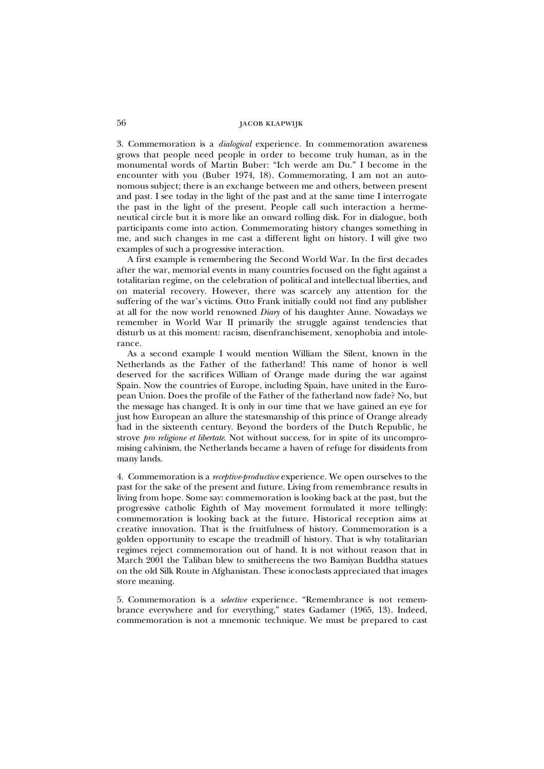# 56 JACOB KLAPWIJK

3. Commemoration is a *dialogical* experience. In commemoration awareness grows that people need people in order to become truly human, as in the monumental words of Martin Buber: "Ich werde am Du." I become in the encounter with you (Buber 1974, 18). Commemorating, I am not an autonomous subject; there is an exchange between me and others, between present and past. I see today in the light of the past and at the same time I interrogate the past in the light of the present. People call such interaction a hermeneutical circle but it is more like an onward rolling disk. For in dialogue, both participants come into action. Commemorating history changes something in me, and such changes in me cast a different light on history. I will give two examples of such a progressive interaction.

A first example is remembering the Second World War. In the first decades after the war, memorial events in many countries focused on the fight against a totalitarian regime, on the celebration of political and intellectual liberties, and on material recovery. However, there was scarcely any attention for the suffering of the war's victims. Otto Frank initially could not find any publisher at all for the now world renowned *Diary* of his daughter Anne. Nowadays we remember in World War II primarily the struggle against tendencies that disturb us at this moment: racism, disenfranchisement, xenophobia and intolerance.

As a second example I would mention William the Silent, known in the Netherlands as the Father of the fatherland! This name of honor is well deserved for the sacrifices William of Orange made during the war against Spain. Now the countries of Europe, including Spain, have united in the European Union. Does the profile of the Father of the fatherland now fade? No, but the message has changed. It is only in our time that we have gained an eye for just how European an allure the statesmanship of this prince of Orange already had in the sixteenth century. Beyond the borders of the Dutch Republic, he strove *pro religione et libertate*. Not without success, for in spite of its uncompromising calvinism, the Netherlands became a haven of refuge for dissidents from many lands.

4. Commemoration is a *receptive-productive* experience. We open ourselves to the past for the sake of the present and future. Living from remembrance results in living from hope. Some say: commemoration is looking back at the past, but the progressive catholic Eighth of May movement formulated it more tellingly: commemoration is looking back at the future. Historical reception aims at creative innovation. That is the fruitfulness of history. Commemoration is a golden opportunity to escape the treadmill of history. That is why totalitarian regimes reject commemoration out of hand. It is not without reason that in March 2001 the Taliban blew to smithereens the two Bamiyan Buddha statues on the old Silk Route in Afghanistan. These iconoclasts appreciated that images store meaning.

5. Commemoration is a *selective* experience. "Remembrance is not remembrance everywhere and for everything," states Gadamer (1965, 13). Indeed, commemoration is not a mnemonic technique. We must be prepared to cast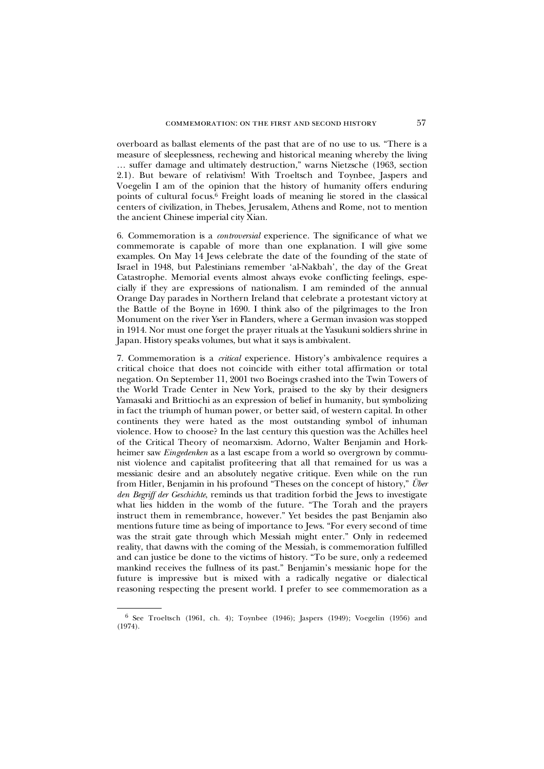overboard as ballast elements of the past that are of no use to us. "There is a measure of sleeplessness, rechewing and historical meaning whereby the living … suffer damage and ultimately destruction," warns Nietzsche (1963*,* section 2.1)*.* But beware of relativism! With Troeltsch and Toynbee, Jaspers and Voegelin I am of the opinion that the history of humanity offers enduring points of cultural focus. <sup>6</sup> Freight loads of meaning lie stored in the classical centers of civilization, in Thebes, Jerusalem, Athens and Rome, not to mention the ancient Chinese imperial city Xian.

6. Commemoration is a *controversial* experience. The significance of what we commemorate is capable of more than one explanation. I will give some examples. On May 14 Jews celebrate the date of the founding of the state of Israel in 1948, but Palestinians remember 'al-Nakbah', the day of the Great Catastrophe. Memorial events almost always evoke conflicting feelings, especially if they are expressions of nationalism. I am reminded of the annual Orange Day parades in Northern Ireland that celebrate a protestant victory at the Battle of the Boyne in 1690. I think also of the pilgrimages to the Iron Monument on the river Yser in Flanders, where a German invasion was stopped in 1914. Nor must one forget the prayer rituals at the Yasukuni soldiers shrine in Japan. History speaks volumes, but what it says is ambivalent.

7. Commemoration is a *critical* experience. History's ambivalence requires a critical choice that does not coincide with either total affirmation or total negation. On September 11, 2001 two Boeings crashed into the Twin Towers of the World Trade Center in New York, praised to the sky by their designers Yamasaki and Brittiochi as an expression of belief in humanity, but symbolizing in fact the triumph of human power, or better said, of western capital. In other continents they were hated as the most outstanding symbol of inhuman violence. How to choose? In the last century this question was the Achilles heel of the Critical Theory of neomarxism. Adorno, Walter Benjamin and Horkheimer saw *Eingedenken* as a last escape from a world so overgrown by communist violence and capitalist profiteering that all that remained for us was a messianic desire and an absolutely negative critique. Even while on the run from Hitler, Benjamin in his profound "Theses on the concept of history," *Über den Begriff der Geschichte*, reminds us that tradition forbid the Jews to investigate what lies hidden in the womb of the future. "The Torah and the prayers instruct them in remembrance, however." Yet besides the past Benjamin also mentions future time as being of importance to Jews. "For every second of time was the strait gate through which Messiah might enter." Only in redeemed reality, that dawns with the coming of the Messiah, is commemoration fulfilled and can justice be done to the victims of history. "To be sure, only a redeemed mankind receives the fullness of its past." Benjamin's messianic hope for the future is impressive but is mixed with a radically negative or dialectical reasoning respecting the present world. I prefer to see commemoration as a

 $6$  See Troeltsch (1961, ch. 4); Toynbee (1946); Jaspers (1949); Voegelin (1956) and (1974).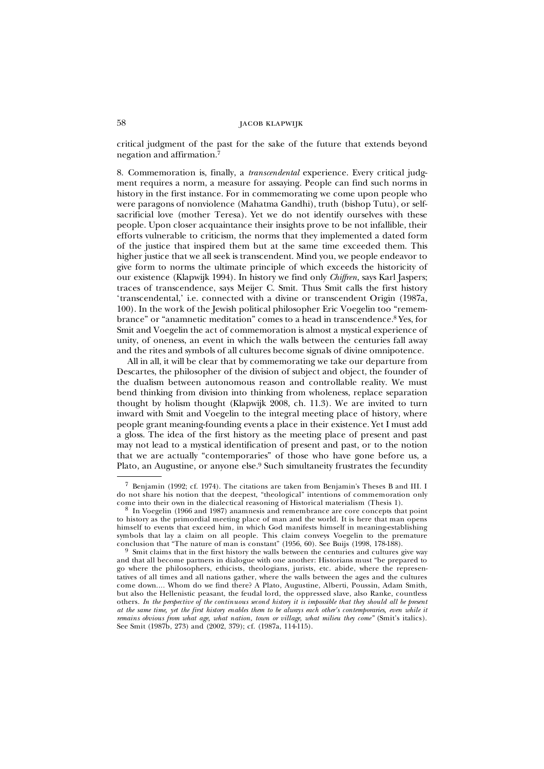critical judgment of the past for the sake of the future that extends beyond negation and affirmation. 7

8. Commemoration is, finally, a *transcendental* experience. Every critical judgment requires a norm, a measure for assaying. People can find such norms in history in the first instance. For in commemorating we come upon people who were paragons of nonviolence (Mahatma Gandhi), truth (bishop Tutu), or selfsacrificial love (mother Teresa). Yet we do not identify ourselves with these people. Upon closer acquaintance their insights prove to be not infallible, their efforts vulnerable to criticism, the norms that they implemented a dated form of the justice that inspired them but at the same time exceeded them. This higher justice that we all seek is transcendent. Mind you, we people endeavor to give form to norms the ultimate principle of which exceeds the historicity of our existence (Klapwijk 1994). In history we find only *Chiffren,* says Karl Jaspers; traces of transcendence, says Meijer C. Smit. Thus Smit calls the first history 'transcendental,' i.e. connected with a divine or transcendent Origin (1987a, 100). In the work of the Jewish political philosopher Eric Voegelin too "remembrance" or "anamnetic meditation" comes to a head in transcendence.8 Yes, for Smit and Voegelin the act of commemoration is almost a mystical experience of unity, of oneness, an event in which the walls between the centuries fall away and the rites and symbols of all cultures become signals of divine omnipotence.

All in all, it will be clear that by commemorating we take our departure from Descartes, the philosopher of the division of subject and object, the founder of the dualism between autonomous reason and controllable reality. We must bend thinking from division into thinking from wholeness, replace separation thought by holism thought (Klapwijk 2008, ch. 11.3). We are invited to turn inward with Smit and Voegelin to the integral meeting place of history, where people grant meaning-founding events a place in their existence. Yet I must add a gloss. The idea of the first history as the meeting place of present and past may not lead to a mystical identification of present and past, or to the notion that we are actually "contemporaries" of those who have gone before us, a Plato, an Augustine, or anyone else.9 Such simultaneity frustrates the fecundity

<sup>7</sup> Benjamin (1992; cf. 1974). The citations are taken from Benjamin's Theses B and III. I do not share his notion that the deepest, "theological" intentions of commemoration only

come into their own in the dialectical reasoning of Historical materialism (Thesis 1). <sup>8</sup> In Voegelin (1966 and 1987) anamnesis and remembrance are core concepts that point to history as the primordial meeting place of man and the world. It is here that man opens himself to events that exceed him, in which God manifests himself in meaning-establishing symbols that lay a claim on all people. This claim conveys Voegelin to the premature conclusion that "The nature of man is constant" (1956, 60). See Buijs (1998, 178-188).

Smit claims that in the first history the walls between the centuries and cultures give way and that all become partners in dialogue with one another: Historians must "be prepared to go where the philosophers, ethicists, theologians, jurists, etc. abide, where the representatives of all times and all nations gather, where the walls between the ages and the cultures come down.... Whom do we find there? A Plato, Augustine, Alberti, Poussin, Adam Smith, but also the Hellenistic peasant, the feudal lord, the oppressed slave, also Ranke, countless others. In the perspective of the continuous second history it is impossible that they should all be present at the same time, yet the first history enables them to be always each other's contemporaries, even while it *remains obvious from what age, what nation, town or village, what milieu they come"* (Smit's italics). See Smit (1987b, 273) and (2002, 379); cf. (1987a, 114-115).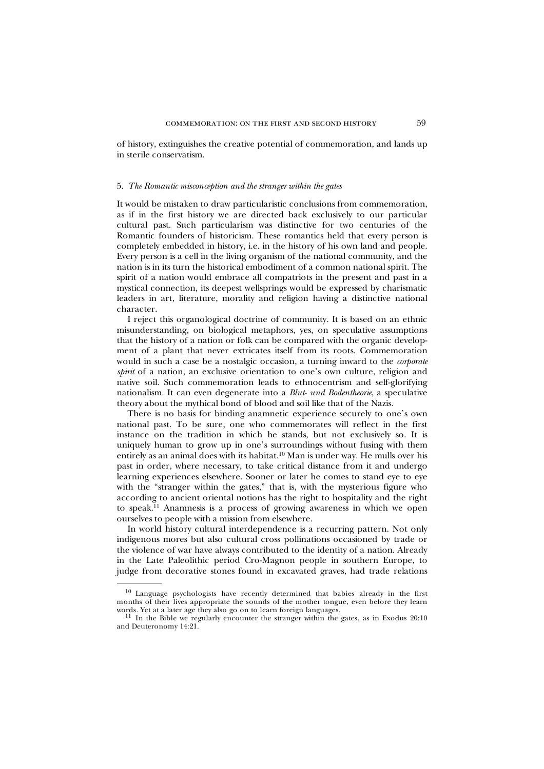of history, extinguishes the creative potential of commemoration, and lands up in sterile conservatism.

### 5. *The Romantic misconception and the stranger within the gates*

It would be mistaken to draw particularistic conclusions from commemoration, as if in the first history we are directed back exclusively to our particular cultural past. Such particularism was distinctive for two centuries of the Romantic founders of historicism. These romantics held that every person is completely embedded in history, i.e. in the history of his own land and people. Every person is a cell in the living organism of the national community, and the nation is in its turn the historical embodiment of a common national spirit. The spirit of a nation would embrace all compatriots in the present and past in a mystical connection, its deepest wellsprings would be expressed by charismatic leaders in art, literature, morality and religion having a distinctive national character.

I reject this organological doctrine of community. It is based on an ethnic misunderstanding, on biological metaphors, yes, on speculative assumptions that the history of a nation or folk can be compared with the organic development of a plant that never extricates itself from its roots. Commemoration would in such a case be a nostalgic occasion, a turning inward to the *corporate spirit* of a nation, an exclusive orientation to one's own culture, religion and native soil. Such commemoration leads to ethnocentrism and self-glorifying nationalism. It can even degenerate into a *Blut- und Bodentheorie*, a speculative theory about the mythical bond of blood and soil like that of the Nazis.

There is no basis for binding anamnetic experience securely to one's own national past. To be sure, one who commemorates will reflect in the first instance on the tradition in which he stands, but not exclusively so. It is uniquely human to grow up in one's surroundings without fusing with them entirely as an animal does with its habitat. <sup>10</sup> Man is under way. He mulls over his past in order, where necessary, to take critical distance from it and undergo learning experiences elsewhere. Sooner or later he comes to stand eye to eye with the "stranger within the gates," that is, with the mysterious figure who according to ancient oriental notions has the right to hospitality and the right to speak. <sup>11</sup> Anamnesis is a process of growing awareness in which we open ourselves to people with a mission from elsewhere.

In world history cultural interdependence is a recurring pattern. Not only indigenous mores but also cultural cross pollinations occasioned by trade or the violence of war have always contributed to the identity of a nation. Already in the Late Paleolithic period Cro-Magnon people in southern Europe, to judge from decorative stones found in excavated graves, had trade relations

<sup>10</sup> Language psychologists have recently determined that babies already in the first months of their lives appropriate the sounds of the mother tongue, even before they learn words. Yet at a later age they also go on to learn foreign languages.

 $11$  In the Bible we regularly encounter the stranger within the gates, as in Exodus 20:10 and Deuteronomy 14:21.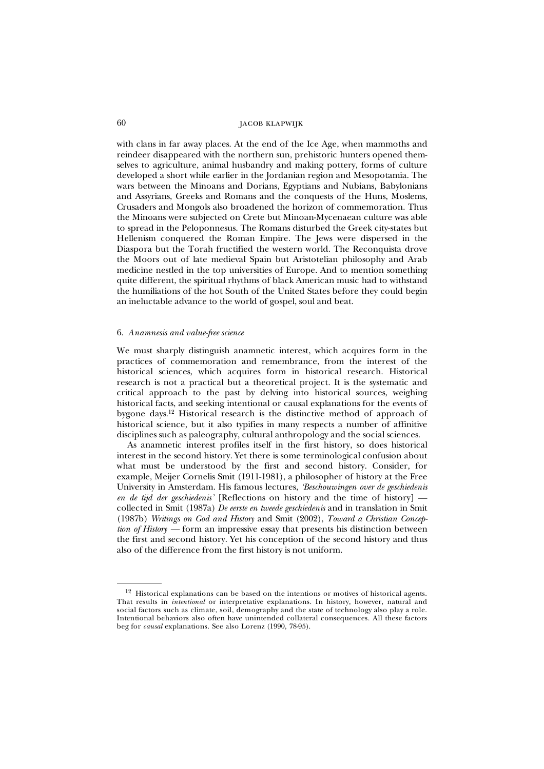with clans in far away places. At the end of the Ice Age, when mammoths and reindeer disappeared with the northern sun, prehistoric hunters opened themselves to agriculture, animal husbandry and making pottery, forms of culture developed a short while earlier in the Jordanian region and Mesopotamia. The wars between the Minoans and Dorians, Egyptians and Nubians, Babylonians and Assyrians, Greeks and Romans and the conquests of the Huns, Moslems, Crusaders and Mongols also broadened the horizon of commemoration. Thus the Minoans were subjected on Crete but Minoan-Mycenaean culture was able to spread in the Peloponnesus. The Romans disturbed the Greek city-states but Hellenism conquered the Roman Empire. The Jews were dispersed in the Diaspora but the Torah fructified the western world. The Reconquista drove the Moors out of late medieval Spain but Aristotelian philosophy and Arab medicine nestled in the top universities of Europe. And to mention something quite different, the spiritual rhythms of black American music had to withstand the humiliations of the hot South of the United States before they could begin an ineluctable advance to the world of gospel, soul and beat.

#### 6. *Anamnesis and value-free science*

We must sharply distinguish anamnetic interest, which acquires form in the practices of commemoration and remembrance, from the interest of the historical sciences, which acquires form in historical research. Historical research is not a practical but a theoretical project. It is the systematic and critical approach to the past by delving into historical sources, weighing historical facts, and seeking intentional or causal explanations for the events of bygone days. <sup>12</sup> Historical research is the distinctive method of approach of historical science, but it also typifies in many respects a number of affinitive disciplines such as paleography, cultural anthropology and the social sciences.

As anamnetic interest profiles itself in the first history, so does historical interest in the second history. Yet there is some terminological confusion about what must be understood by the first and second history. Consider, for example, Meijer Cornelis Smit (1911-1981), a philosopher of history at the Free University in Amsterdam. His famous lectures, *'Beschouwingen over de geschiedenis en de tijd der geschiedenis'* [Reflections on history and the time of history] collected in Smit (1987a) *De eerste en tweede geschiedenis* and in translation in Smit (1987b) *Writings on God and History* and Smit (2002), *Toward a Christian Conception of History —* form an impressive essay that presents his distinction between the first and second history. Yet his conception of the second history and thus also of the difference from the first history is not uniform.

<sup>12</sup> Historical explanations can be based on the intentions or motives of historical agents. That results in *intentional* or interpretative explanations. In history, however, natural and social factors such as climate, soil, demography and the state of technology also play a role. Intentional behaviors also often have unintended collateral consequences. All these factors beg for *causal* explanations. See also Lorenz (1990, 78-95).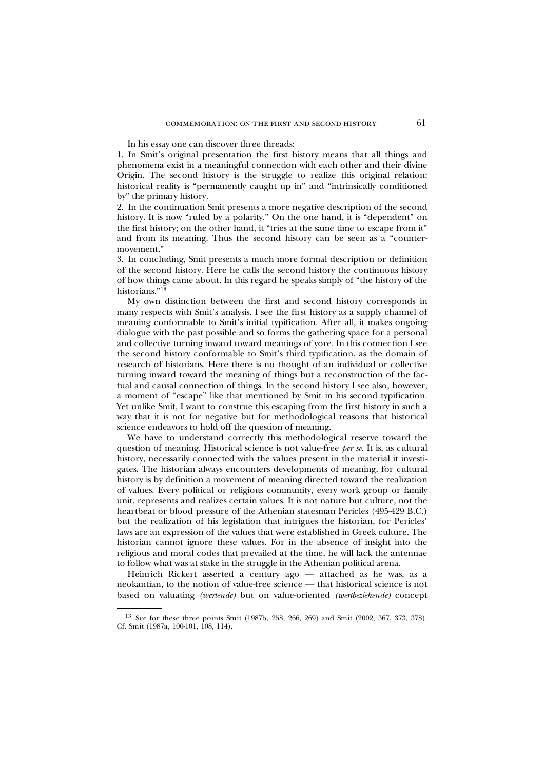In his essay one can discover three threads:

1. In Smit's original presentation the first history means that all things and phenomena exist in a meaningful connection with each other and their divine Origin. The second history is the struggle to realize this original relation: historical reality is "permanently caught up in" and "intrinsically conditioned by" the primary history.

2. In the continuation Smit presents a more negative description of the second history. It is now "ruled by a polarity." On the one hand, it is "dependent" on the first history; on the other hand, it "tries at the same time to escape from it" and from its meaning. Thus the second history can be seen as a "countermovement."

3. In concluding, Smit presents a much more formal description or definition of the second history. Here he calls the second history the continuous history of how things came about. In this regard he speaks simply of "the history of the historians."13

My own distinction between the first and second history corresponds in many respects with Smit's analysis. I see the first history as a supply channel of meaning conformable to Smit's initial typification. After all, it makes ongoing dialogue with the past possible and so forms the gathering space for a personal and collective turning inward toward meanings of yore. In this connection I see the second history conformable to Smit's third typification, as the domain of research of historians. Here there is no thought of an individual or collective turning inward toward the meaning of things but a reconstruction of the factual and causal connection of things. In the second history I see also, however, a moment of "escape" like that mentioned by Smit in his second typification. Yet unlike Smit, I want to construe this escaping from the first history in such a way that it is not for negative but for methodological reasons that historical science endeavors to hold off the question of meaning.

We have to understand correctly this methodological reserve toward the question of meaning. Historical science is not value-free *per se*. It is, as cultural history, necessarily connected with the values present in the material it investigates. The historian always encounters developments of meaning, for cultural history is by definition a movement of meaning directed toward the realization of values. Every political or religious community, every work group or family unit, represents and realizes certain values. It is not nature but culture, not the heartbeat or blood pressure of the Athenian statesman Pericles (495-429 B.C.) but the realization of his legislation that intrigues the historian, for Pericles' laws are an expression of the values that were established in Greek culture. The historian cannot ignore these values. For in the absence of insight into the religious and moral codes that prevailed at the time, he will lack the antennae to follow what was at stake in the struggle in the Athenian political arena.

Heinrich Rickert asserted a century ago — attached as he was, as a neokantian, to the notion of value-free science — that historical science is not based on valuating *(wertende)* but on value-oriented *(wertbeziehende)* concept

<sup>13</sup> See for these three points Smit (1987b, 258, 266, 269) and Smit (2002, 367, 373, 378). Cf. Smit (1987a, 100-101, 108, 114).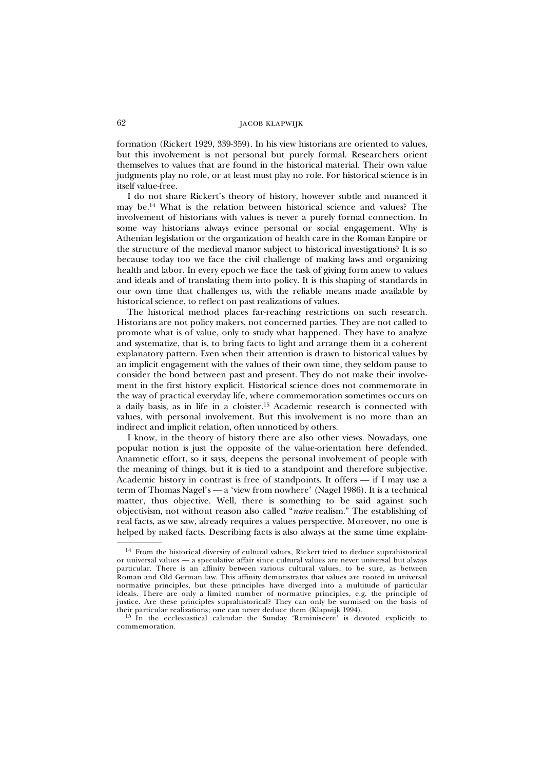formation (Rickert 1929, 339-359). In his view historians are oriented to values, but this involvement is not personal but purely formal. Researchers orient themselves to values that are found in the historical material. Their own value judgments play no role, or at least must play no role. For historical science is in itself value-free.

I do not share Rickert's theory of history, however subtle and nuanced it may be.14 What is the relation between historical science and values? The involvement of historians with values is never a purely formal connection. In some way historians always evince personal or social engagement. Why is Athenian legislation or the organization of health care in the Roman Empire or the structure of the medieval manor subject to historical investigations? It is so because today too we face the civil challenge of making laws and organizing health and labor. In every epoch we face the task of giving form anew to values and ideals and of translating them into policy. It is this shaping of standards in our own time that challenges us, with the reliable means made available by historical science, to reflect on past realizations of values.

The historical method places far-reaching restrictions on such research. Historians are not policy makers, not concerned parties. They are not called to promote what is of value, only to study what happened. They have to analyze and systematize, that is, to bring facts to light and arrange them in a coherent explanatory pattern. Even when their attention is drawn to historical values by an implicit engagement with the values of their own time, they seldom pause to consider the bond between past and present. They do not make their involvement in the first history explicit. Historical science does not commemorate in the way of practical everyday life, where commemoration sometimes occurs on a daily basis, as in life in a cloister. <sup>15</sup> Academic research is connected with values, with personal involvement. But this involvement is no more than an indirect and implicit relation, often unnoticed by others.

I know, in the theory of history there are also other views. Nowadays, one popular notion is just the opposite of the value-orientation here defended. Anamnetic effort, so it says, deepens the personal involvement of people with the meaning of things, but it is tied to a standpoint and therefore subjective. Academic history in contrast is free of standpoints. It offers — if I may use a term of Thomas Nagel's — a 'view from nowhere' (Nagel 1986). It is a technical matter, thus objective. Well, there is something to be said against such objectivism, not without reason also called "*naive* realism." The establishing of real facts, as we saw, already requires a values perspective. Moreover, no one is helped by naked facts. Describing facts is also always at the same time explain-

<sup>14</sup> From the historical diversity of cultural values, Rickert tried to deduce suprahistorical or universal values — a speculative affair since cultural values are never universal but always particular. There is an affinity between various cultural values, to be sure, as between Roman and Old German law. This affinity demonstrates that values are rooted in universal normative principles, but these principles have diverged into a multitude of particular ideals. There are only a limited number of normative principles, e.g. the principle of justice. Are these principles suprahistorical? They can only be surmised on the basis of

 $15$  In the ecclesiastical calendar the Sunday 'Reminiscere' is devoted explicitly to commemoration.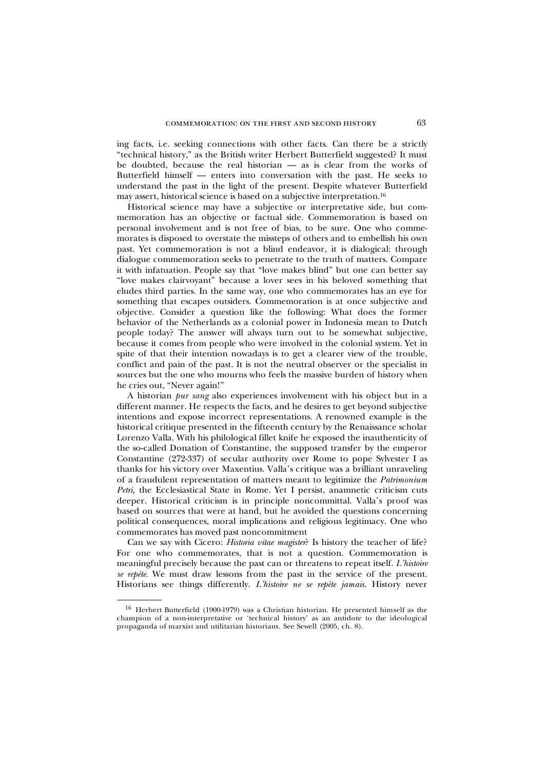ing facts, i.e. seeking connections with other facts. Can there be a strictly "technical history," as the British writer Herbert Butterfield suggested? It must be doubted, because the real historian — as is clear from the works of Butterfield himself — enters into conversation with the past. He seeks to understand the past in the light of the present. Despite whatever Butterfield may assert, historical science is based on a subjective interpretation. 16

Historical science may have a subjective or interpretative side, but commemoration has an objective or factual side. Commemoration is based on personal involvement and is not free of bias, to be sure. One who commemorates is disposed to overstate the missteps of others and to embellish his own past. Yet commemoration is not a blind endeavor, it is dialogical: through dialogue commemoration seeks to penetrate to the truth of matters. Compare it with infatuation. People say that "love makes blind" but one can better say "love makes clairvoyant" because a lover sees in his beloved something that eludes third parties. In the same way, one who commemorates has an eye for something that escapes outsiders. Commemoration is at once subjective and objective. Consider a question like the following: What does the former behavior of the Netherlands as a colonial power in Indonesia mean to Dutch people today? The answer will always turn out to be somewhat subjective, because it comes from people who were involved in the colonial system. Yet in spite of that their intention nowadays is to get a clearer view of the trouble, conflict and pain of the past. It is not the neutral observer or the specialist in sources but the one who mourns who feels the massive burden of history when he cries out, "Never again!"

A historian *pur sang* also experiences involvement with his object but in a different manner. He respects the facts, and he desires to get beyond subjective intentions and expose incorrect representations. A renowned example is the historical critique presented in the fifteenth century by the Renaissance scholar Lorenzo Valla. With his philological fillet knife he exposed the inauthenticity of the so-called Donation of Constantine, the supposed transfer by the emperor Constantine (272-337) of secular authority over Rome to pope Sylvester I as thanks for his victory over Maxentius. Valla's critique was a brilliant unraveling of a fraudulent representation of matters meant to legitimize the *Patrimonium Petri,* the Ecclesiastical State in Rome. Yet I persist, anamnetic criticism cuts deeper. Historical criticism is in principle noncommittal. Valla's proof was based on sources that were at hand, but he avoided the questions concerning political consequences, moral implications and religious legitimacy. One who commemorates has moved past noncommitment

Can we say with Cicero: *Historia vitae magister*? Is history the teacher of life? For one who commemorates, that is not a question. Commemoration is meaningful precisely because the past can or threatens to repeat itself. *L'histoire se repète.* We must draw lessons from the past in the service of the present. Historians see things differently. *L'histoire ne se repète jamais.* History never

<sup>16</sup> Herbert Butterfield (1900-1979) was a Christian historian. He presented himself as the champion of a non-interpretative or 'technical history' as an antidote to the ideological propaganda of marxist and utilitarian historians. See Sewell (2005, ch. 8).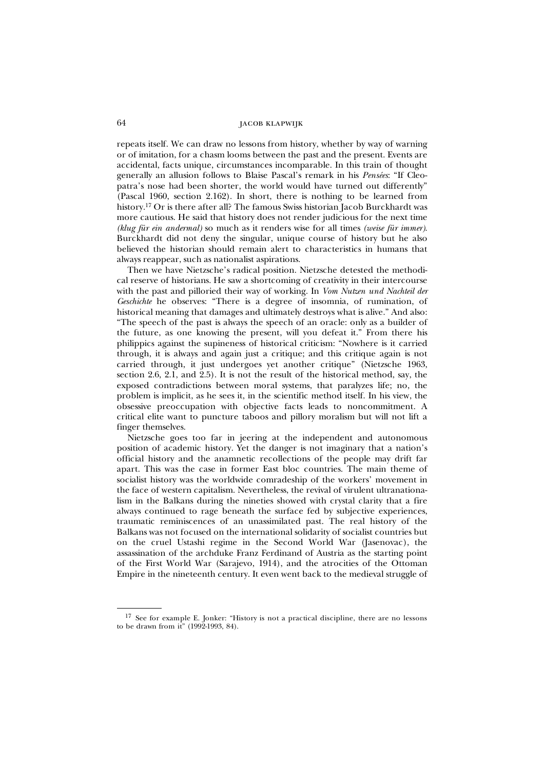repeats itself. We can draw no lessons from history, whether by way of warning or of imitation, for a chasm looms between the past and the present. Events are accidental, facts unique, circumstances incomparable. In this train of thought generally an allusion follows to Blaise Pascal's remark in his *Pensées*: "If Cleopatra's nose had been shorter, the world would have turned out differently" (Pascal 1960, section 2.162). In short, there is nothing to be learned from history. <sup>17</sup> Or is there after all? The famous Swiss historian Jacob Burckhardt was more cautious. He said that history does not render judicious for the next time *(klug für ein andermal)* so much as it renders wise for all times *(weise für immer)*. Burckhardt did not deny the singular, unique course of history but he also believed the historian should remain alert to characteristics in humans that always reappear, such as nationalist aspirations.

Then we have Nietzsche's radical position. Nietzsche detested the methodical reserve of historians. He saw a shortcoming of creativity in their intercourse with the past and pilloried their way of working. In *Vom Nutzen und Nachteil der Geschichte* he observes: "There is a degree of insomnia, of rumination, of historical meaning that damages and ultimately destroys what is alive." And also: "The speech of the past is always the speech of an oracle: only as a builder of the future, as one knowing the present, will you defeat it." From there his philippics against the supineness of historical criticism: "Nowhere is it carried through, it is always and again just a critique; and this critique again is not carried through, it just undergoes yet another critique" (Nietzsche 1963, section 2.6, 2.1, and 2.5). It is not the result of the historical method, say, the exposed contradictions between moral systems, that paralyzes life; no, the problem is implicit, as he sees it, in the scientific method itself. In his view, the obsessive preoccupation with objective facts leads to noncommitment. A critical elite want to puncture taboos and pillory moralism but will not lift a finger themselves.

Nietzsche goes too far in jeering at the independent and autonomous position of academic history. Yet the danger is not imaginary that a nation's official history and the anamnetic recollections of the people may drift far apart. This was the case in former East bloc countries. The main theme of socialist history was the worldwide comradeship of the workers' movement in the face of western capitalism. Nevertheless, the revival of virulent ultranationalism in the Balkans during the nineties showed with crystal clarity that a fire always continued to rage beneath the surface fed by subjective experiences, traumatic reminiscences of an unassimilated past. The real history of the Balkans was not focused on the international solidarity of socialist countries but on the cruel Ustashi regime in the Second World War (Jasenovac), the assassination of the archduke Franz Ferdinand of Austria as the starting point of the First World War (Sarajevo, 1914), and the atrocities of the Ottoman Empire in the nineteenth century. It even went back to the medieval struggle of

<sup>17</sup> See for example E. Jonker: "History is not a practical discipline, there are no lessons to be drawn from  $i\ddot{i}$ " (1992-1993, 84).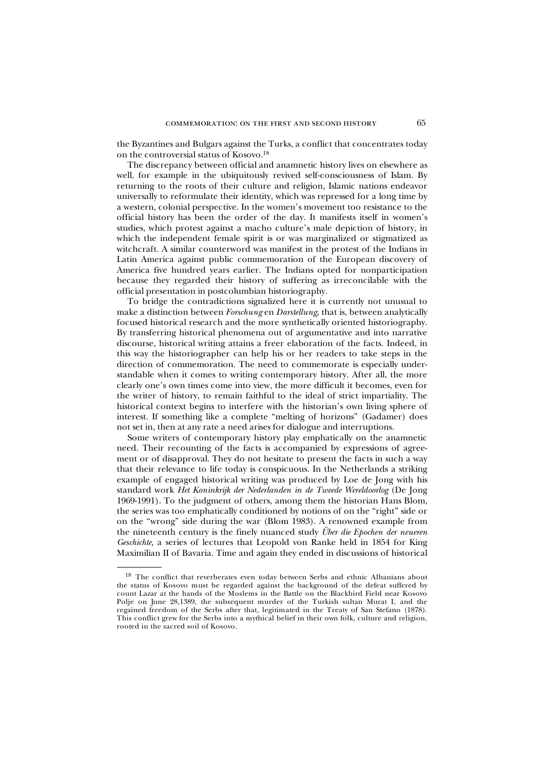the Byzantines and Bulgars against the Turks, a conflict that concentrates today on the controversial status of Kosovo. 18

The discrepancy between official and anamnetic history lives on elsewhere as well, for example in the ubiquitously revived self-consciousness of Islam. By returning to the roots of their culture and religion, Islamic nations endeavor universally to reformulate their identity, which was repressed for a long time by a western, colonial perspective. In the women's movement too resistance to the official history has been the order of the day. It manifests itself in women's studies, which protest against a macho culture's male depiction of history, in which the independent female spirit is or was marginalized or stigmatized as witchcraft. A similar counterword was manifest in the protest of the Indians in Latin America against public commemoration of the European discovery of America five hundred years earlier. The Indians opted for nonparticipation because they regarded their history of suffering as irreconcilable with the official presentation in postcolumbian historiography.

To bridge the contradictions signalized here it is currently not unusual to make a distinction between *Forschung* en *Darstellung*, that is, between analytically focused historical research and the more synthetically oriented historiography. By transferring historical phenomena out of argumentative and into narrative discourse, historical writing attains a freer elaboration of the facts. Indeed, in this way the historiographer can help his or her readers to take steps in the direction of commemoration. The need to commemorate is especially understandable when it comes to writing contemporary history. After all, the more clearly one's own times come into view, the more difficult it becomes, even for the writer of history, to remain faithful to the ideal of strict impartiality. The historical context begins to interfere with the historian's own living sphere of interest. If something like a complete "melting of horizons" (Gadamer) does not set in, then at any rate a need arises for dialogue and interruptions.

Some writers of contemporary history play emphatically on the anamnetic need. Their recounting of the facts is accompanied by expressions of agreement or of disapproval. They do not hesitate to present the facts in such a way that their relevance to life today is conspicuous. In the Netherlands a striking example of engaged historical writing was produced by Loe de Jong with his standard work *Het Koninkrijk der Nederlanden in de Tweede Wereldoorlog* (De Jong 1969-1991). To the judgment of others, among them the historian Hans Blom, the series was too emphatically conditioned by notions of on the "right" side or on the "wrong" side during the war (Blom 1983). A renowned example from the nineteenth century is the finely nuanced study *Über die Epochen der neueren Geschichte,* a series of lectures that Leopold von Ranke held in 1854 for King Maximilian II of Bavaria. Time and again they ended in discussions of historical

<sup>18</sup> The conflict that reverberates even today between Serbs and ethnic Albanians about the status of Kosovo must be regarded against the background of the defeat suffered by count Lazar at the hands of the Moslems in the Battle on the Blackbird Field near Kosovo Polje on June 28,1389, the subsequent murder of the Turkish sultan Murat I, and the regained freedom of the Serbs after that, legitimated in the Treaty of San Stefano (1878). This conflict grew for the Serbs into a mythical belief in their own folk, culture and religion, rooted in the sacred soil of Kosovo.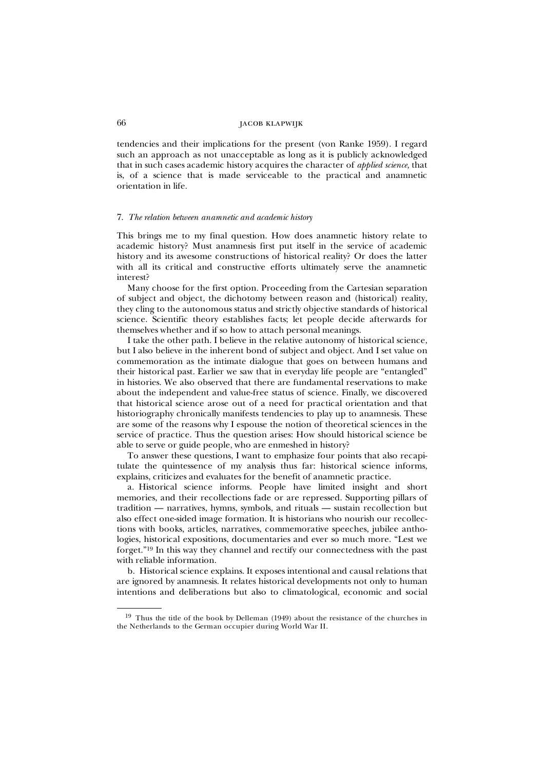tendencies and their implications for the present (von Ranke 1959). I regard such an approach as not unacceptable as long as it is publicly acknowledged that in such cases academic history acquires the character of *applied science,* that is, of a science that is made serviceable to the practical and anamnetic orientation in life.

### 7. *The relation between anamnetic and academic history*

This brings me to my final question. How does anamnetic history relate to academic history? Must anamnesis first put itself in the service of academic history and its awesome constructions of historical reality? Or does the latter with all its critical and constructive efforts ultimately serve the anamnetic interest?

Many choose for the first option. Proceeding from the Cartesian separation of subject and object, the dichotomy between reason and (historical) reality, they cling to the autonomous status and strictly objective standards of historical science. Scientific theory establishes facts; let people decide afterwards for themselves whether and if so how to attach personal meanings.

I take the other path. I believe in the relative autonomy of historical science, but I also believe in the inherent bond of subject and object. And I set value on commemoration as the intimate dialogue that goes on between humans and their historical past. Earlier we saw that in everyday life people are "entangled" in histories. We also observed that there are fundamental reservations to make about the independent and value-free status of science. Finally, we discovered that historical science arose out of a need for practical orientation and that historiography chronically manifests tendencies to play up to anamnesis. These are some of the reasons why I espouse the notion of theoretical sciences in the service of practice. Thus the question arises: How should historical science be able to serve or guide people, who are enmeshed in history?

To answer these questions, I want to emphasize four points that also recapitulate the quintessence of my analysis thus far: historical science informs, explains, criticizes and evaluates for the benefit of anamnetic practice.

a. Historical science informs. People have limited insight and short memories, and their recollections fade or are repressed. Supporting pillars of tradition — narratives, hymns, symbols, and rituals — sustain recollection but also effect one-sided image formation. It is historians who nourish our recollections with books, articles, narratives, commemorative speeches, jubilee anthologies, historical expositions, documentaries and ever so much more. "Lest we forget."19 In this way they channel and rectify our connectedness with the past with reliable information.

b. Historical science explains. It exposes intentional and causal relations that are ignored by anamnesis. It relates historical developments not only to human intentions and deliberations but also to climatological, economic and social

<sup>&</sup>lt;sup>19</sup> Thus the title of the book by Delleman (1949) about the resistance of the churches in the Netherlands to the German occupier during World War II.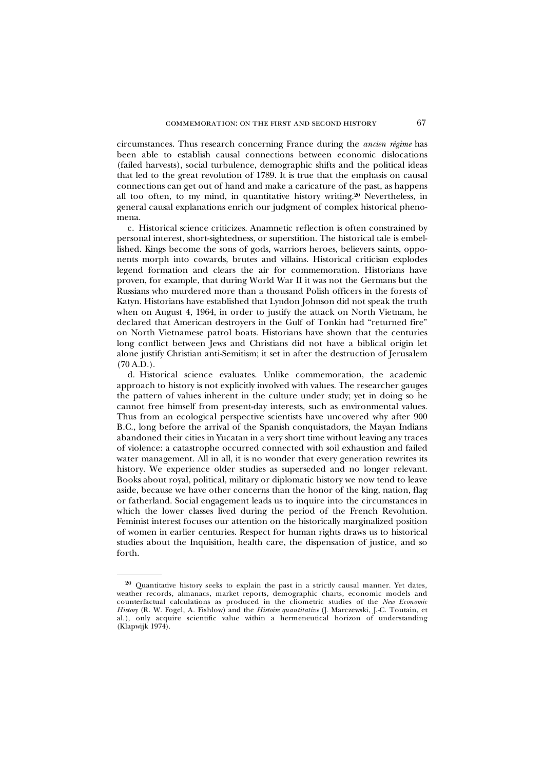circumstances. Thus research concerning France during the *ancien régime* has been able to establish causal connections between economic dislocations (failed harvests), social turbulence, demographic shifts and the political ideas that led to the great revolution of 1789. It is true that the emphasis on causal connections can get out of hand and make a caricature of the past, as happens all too often, to my mind, in quantitative history writing. <sup>20</sup> Nevertheless, in general causal explanations enrich our judgment of complex historical phenomena.

c. Historical science criticizes. Anamnetic reflection is often constrained by personal interest, short-sightedness, or superstition. The historical tale is embellished. Kings become the sons of gods, warriors heroes, believers saints, opponents morph into cowards, brutes and villains. Historical criticism explodes legend formation and clears the air for commemoration. Historians have proven, for example, that during World War II it was not the Germans but the Russians who murdered more than a thousand Polish officers in the forests of Katyn. Historians have established that Lyndon Johnson did not speak the truth when on August 4, 1964, in order to justify the attack on North Vietnam, he declared that American destroyers in the Gulf of Tonkin had "returned fire" on North Vietnamese patrol boats. Historians have shown that the centuries long conflict between Jews and Christians did not have a biblical origin let alone justify Christian anti-Semitism; it set in after the destruction of Jerusalem (70 A.D.).

d. Historical science evaluates. Unlike commemoration, the academic approach to history is not explicitly involved with values. The researcher gauges the pattern of values inherent in the culture under study; yet in doing so he cannot free himself from present-day interests, such as environmental values. Thus from an ecological perspective scientists have uncovered why after 900 B.C., long before the arrival of the Spanish conquistadors, the Mayan Indians abandoned their cities in Yucatan in a very short time without leaving any traces of violence: a catastrophe occurred connected with soil exhaustion and failed water management. All in all, it is no wonder that every generation rewrites its history. We experience older studies as superseded and no longer relevant. Books about royal, political, military or diplomatic history we now tend to leave aside, because we have other concerns than the honor of the king, nation, flag or fatherland. Social engagement leads us to inquire into the circumstances in which the lower classes lived during the period of the French Revolution. Feminist interest focuses our attention on the historically marginalized position of women in earlier centuries. Respect for human rights draws us to historical studies about the Inquisition, health care, the dispensation of justice, and so forth.

 $20$  Quantitative history seeks to explain the past in a strictly causal manner. Yet dates, weather records, almanacs, market reports, demographic charts, economic models and counterfactual calculations as produced in the cliometric studies of the *New Economic History* (R. W. Fogel, A. Fishlow) and the *Histoire quantitative* (J. Marczewski, J.-C. Toutain, et al.), only acquire scientific value within a hermeneutical horizon of understanding (Klapwijk 1974).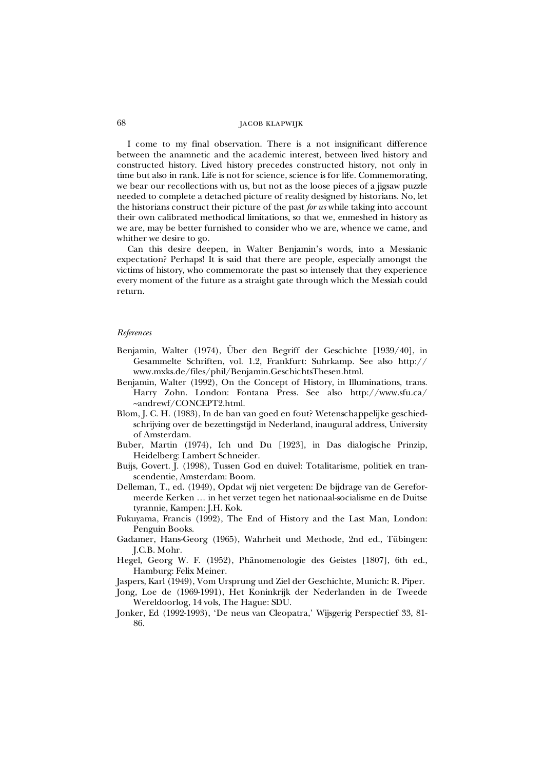I come to my final observation. There is a not insignificant difference between the anamnetic and the academic interest, between lived history and constructed history. Lived history precedes constructed history, not only in time but also in rank. Life is not for science, science is for life. Commemorating, we bear our recollections with us, but not as the loose pieces of a jigsaw puzzle needed to complete a detached picture of reality designed by historians. No, let the historians construct their picture of the past *for us* while taking into account their own calibrated methodical limitations, so that we, enmeshed in history as we are, may be better furnished to consider who we are, whence we came, and whither we desire to go.

Can this desire deepen, in Walter Benjamin's words, into a Messianic expectation? Perhaps! It is said that there are people, especially amongst the victims of history, who commemorate the past so intensely that they experience every moment of the future as a straight gate through which the Messiah could return.

#### *References*

- Benjamin, Walter (1974), Über den Begriff der Geschichte [1939/40], in Gesammelte Schriften, vol. 1.2, Frankfurt: Suhrkamp. See also http:// www.mxks.de/files/phil/Benjamin.GeschichtsThesen.html.
- Benjamin, Walter (1992), On the Concept of History, in Illuminations, trans. Harry Zohn. London: Fontana Press. See also http://www.sfu.ca/ ~andrewf/CONCEPT2.html.
- Blom, J. C. H. (1983), In de ban van goed en fout? Wetenschappelijke geschiedschrijving over de bezettingstijd in Nederland, inaugural address, University of Amsterdam.
- Buber, Martin (1974), Ich und Du [1923], in Das dialogische Prinzip, Heidelberg: Lambert Schneider.
- Buijs, Govert. J. (1998), Tussen God en duivel: Totalitarisme, politiek en transcendentie, Amsterdam: Boom.
- Delleman, T., ed. (1949), Opdat wij niet vergeten: De bijdrage van de Gereformeerde Kerken … in het verzet tegen het nationaal-socialisme en de Duitse tyrannie, Kampen: J.H. Kok.
- Fukuyama, Francis (1992), The End of History and the Last Man, London: Penguin Books.
- Gadamer, Hans-Georg (1965), Wahrheit und Methode, 2nd ed., Tübingen: J.C.B. Mohr.
- Hegel, Georg W. F. (1952), Phänomenologie des Geistes [1807], 6th ed., Hamburg: Felix Meiner.
- Jaspers, Karl (1949), Vom Ursprung und Ziel der Geschichte, Munich: R. Piper.
- Jong, Loe de (1969-1991), Het Koninkrijk der Nederlanden in de Tweede Wereldoorlog, 14 vols, The Hague: SDU.
- Jonker, Ed (1992-1993), 'De neus van Cleopatra,' Wijsgerig Perspectief 33, 81- 86.